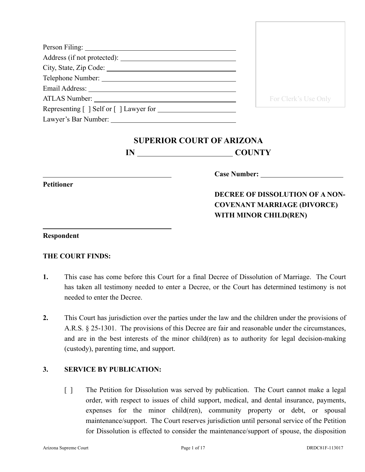| City, State, Zip Code:                                                                                                                                                                                                               |                      |
|--------------------------------------------------------------------------------------------------------------------------------------------------------------------------------------------------------------------------------------|----------------------|
| Telephone Number: New York Channels and School Channels and School Channels and School Channels and School Channels and School Channels and School Channels and School Channels and School Channels and School Channels and Sc       |                      |
| Email Address: <u>New York: New York: New York: New York: New York: New York: New York: New York: New York: New York: New York: New York: New York: New York: New York: New York: New York: New York: New York: New York: New Yo</u> |                      |
|                                                                                                                                                                                                                                      | For Clerk's Use Only |
| Representing [ ] Self or [ ] Lawyer for                                                                                                                                                                                              |                      |
|                                                                                                                                                                                                                                      |                      |

# **SUPERIOR COURT OF ARIZONA**

**IN COUNTY**

**Petitioner**

**Case Number:**

# **DECREE OF DISSOLUTION OF A NON-COVENANT MARRIAGE (DIVORCE) WITH MINOR CHILD(REN)**

#### **Respondent**

## **THE COURT FINDS:**

- **1.** This case has come before this Court for a final Decree of Dissolution of Marriage. The Court has taken all testimony needed to enter a Decree, or the Court has determined testimony is not needed to enter the Decree.
- **2.** This Court has jurisdiction over the parties under the law and the children under the provisions of A.R.S. § 25-1301. The provisions of this Decree are fair and reasonable under the circumstances, and are in the best interests of the minor child(ren) as to authority for legal decision-making (custody), parenting time, and support.

## **3. SERVICE BY PUBLICATION:**

[ ] The Petition for Dissolution was served by publication. The Court cannot make a legal order, with respect to issues of child support, medical, and dental insurance, payments, expenses for the minor child(ren), community property or debt, or spousal maintenance/support. The Court reserves jurisdiction until personal service of the Petition for Dissolution is effected to consider the maintenance/support of spouse, the disposition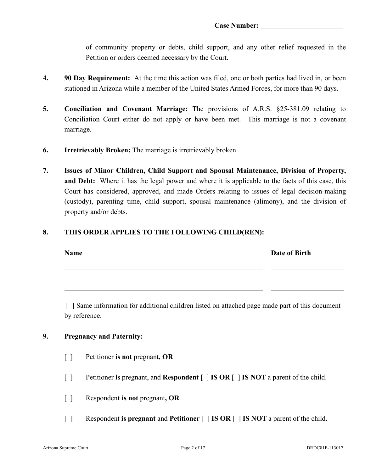of community property or debts, child support, and any other relief requested in the Petition or orders deemed necessary by the Court.

- **4. 90 Day Requirement:** At the time this action was filed, one or both parties had lived in, or been stationed in Arizona while a member of the United States Armed Forces, for more than 90 days.
- **5. Conciliation and Covenant Marriage:** The provisions of A.R.S. §25-381.09 relating to Conciliation Court either do not apply or have been met. This marriage is not a covenant marriage.
- **6. Irretrievably Broken:** The marriage is irretrievably broken.
- **7. Issues of Minor Children, Child Support and Spousal Maintenance, Division of Property, and Debt:** Where it has the legal power and where it is applicable to the facts of this case, this Court has considered, approved, and made Orders relating to issues of legal decision-making (custody), parenting time, child support, spousal maintenance (alimony), and the division of property and/or debts.

#### **8. THIS ORDER APPLIES TO THE FOLLOWING CHILD(REN):**

| <b>Name</b> | Date of Birth |
|-------------|---------------|
|             |               |
|             |               |

[ ] Same information for additional children listed on attached page made part of this document by reference.

#### **9. Pregnancy and Paternity:**

- [ ] Petitioner **is not** pregnant**, OR**
- [ ] Petitioner **is** pregnant, and **Respondent** [ ] **IS OR** [ ] **IS NOT** a parent of the child.
- [ ] Responden**t is not** pregnant**, OR**
- [ ] Respondent **is pregnant** and **Petitioner** [ ] **IS OR** [ ] **IS NOT** a parent of the child.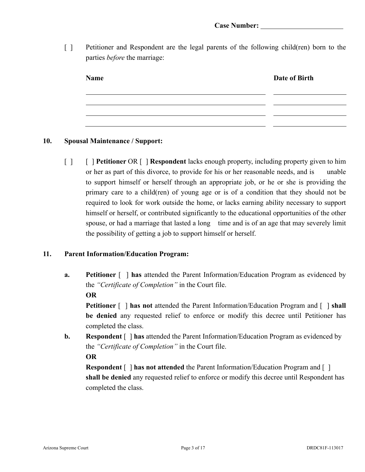[ ] Petitioner and Respondent are the legal parents of the following child(ren) born to the parties *before* the marriage:

| <b>Name</b> | Date of Birth |
|-------------|---------------|
|             |               |
|             |               |
|             |               |

- **10. Spousal Maintenance / Support:**
	- [ ] [ ] **Petitioner** OR [ ] **Respondent** lacks enough property, including property given to him or her as part of this divorce, to provide for his or her reasonable needs, and is unable to support himself or herself through an appropriate job, or he or she is providing the primary care to a child(ren) of young age or is of a condition that they should not be required to look for work outside the home, or lacks earning ability necessary to support himself or herself, or contributed significantly to the educational opportunities of the other spouse, or had a marriage that lasted a long time and is of an age that may severely limit the possibility of getting a job to support himself or herself.

#### **11. Parent Information/Education Program:**

**a. Petitioner** [ ] **has** attended the Parent Information/Education Program as evidenced by the *"Certificate of Completion"* in the Court file. **OR**

**Petitioner** [ ] **has not** attended the Parent Information/Education Program and [ ] **shall be denied** any requested relief to enforce or modify this decree until Petitioner has completed the class.

**b. Respondent**  $\lceil \cdot \rceil$  **has** attended the Parent Information/Education Program as evidenced by the *"Certificate of Completion"* in the Court file.

**OR**

**Respondent** [ ] **has not attended** the Parent Information/Education Program and [ ] **shall be denied** any requested relief to enforce or modify this decree until Respondent has completed the class.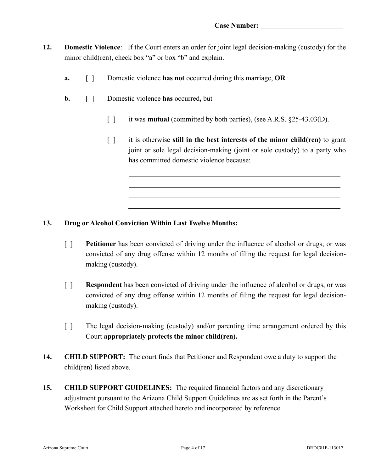- **12. Domestic Violence**: If the Court enters an order for joint legal decision-making (custody) for the minor child(ren), check box "a" or box "b" and explain.
	- **a.** [ ] Domestic violence **has not** occurred during this marriage, **OR**
	- **b.** [ ] Domestic violence **has** occurred**,** but
		- [] it was **mutual** (committed by both parties), (see A.R.S. §25-43.03(D).
		- [ ] it is otherwise **still in the best interests of the minor child(ren)** to grant joint or sole legal decision-making (joint or sole custody) to a party who has committed domestic violence because:

#### **13. Drug or Alcohol Conviction Within Last Twelve Months:**

- [ ] **Petitioner** has been convicted of driving under the influence of alcohol or drugs, or was convicted of any drug offense within 12 months of filing the request for legal decisionmaking (custody).
- [ ] **Respondent** has been convicted of driving under the influence of alcohol or drugs, or was convicted of any drug offense within 12 months of filing the request for legal decisionmaking (custody).
- [ ] The legal decision-making (custody) and/or parenting time arrangement ordered by this Court **appropriately protects the minor child(ren).**
- **14. CHILD SUPPORT:** The court finds that Petitioner and Respondent owe a duty to support the child(ren) listed above.
- **15. CHILD SUPPORT GUIDELINES:** The required financial factors and any discretionary adjustment pursuant to the Arizona Child Support Guidelines are as set forth in the Parent's Worksheet for Child Support attached hereto and incorporated by reference.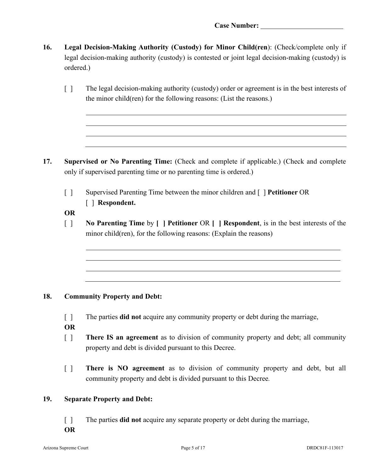- **16. Legal Decision-Making Authority (Custody) for Minor Child(ren**): (Check/complete only if legal decision-making authority (custody) is contested or joint legal decision-making (custody) is ordered.)
	- [ ] The legal decision-making authority (custody) order or agreement is in the best interests of the minor child(ren) for the following reasons: (List the reasons.)

- **17. Supervised or No Parenting Time:** (Check and complete if applicable.) (Check and complete only if supervised parenting time or no parenting time is ordered.)
	- [ ] Supervised Parenting Time between the minor children and [ ] **Petitioner** OR [ ] **Respondent.**

**OR**

[ ] **No Parenting Time** by **[ ] Petitioner** OR **[ ] Respondent**, is in the best interests of the minor child(ren), for the following reasons: (Explain the reasons)

## **18. Community Property and Debt:**

- [ ] The parties **did not** acquire any community property or debt during the marriage,
- **OR**
- [ ] **There IS an agreement** as to division of community property and debt; all community property and debt is divided pursuant to this Decree.
- [ ] **There is NO agreement** as to division of community property and debt, but all community property and debt is divided pursuant to this Decree*.*

#### **19. Separate Property and Debt:**

- [] The parties **did not** acquire any separate property or debt during the marriage,
- **OR**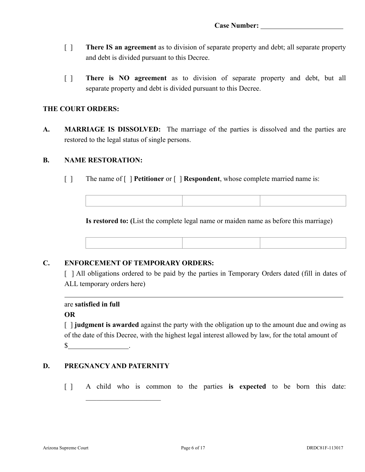- [ ] **There IS an agreement** as to division of separate property and debt; all separate property and debt is divided pursuant to this Decree.
- [ ] **There is NO agreement** as to division of separate property and debt, but all separate property and debt is divided pursuant to this Decree.

#### **THE COURT ORDERS:**

**A. MARRIAGE IS DISSOLVED:** The marriage of the parties is dissolved and the parties are restored to the legal status of single persons.

#### **B. NAME RESTORATION:**

[ ] The name of [ ] **Petitioner** or [ ] **Respondent**, whose complete married name is:

**Is restored to: (**List the complete legal name or maiden name as before this marriage)

#### **C. ENFORCEMENT OF TEMPORARY ORDERS:**

[ ] All obligations ordered to be paid by the parties in Temporary Orders dated (fill in dates of ALL temporary orders here)

```
are satisfied in full
```
#### **OR**

[ ] **judgment is awarded** against the party with the obligation up to the amount due and owing as of the date of this Decree, with the highest legal interest allowed by law, for the total amount of  $\frac{\sqrt{2}}{2}$  .

#### **D. PREGNANCY AND PATERNITY**

 $\overline{\phantom{a}}$  . The set of the set of the set of the set of the set of the set of the set of the set of the set of the set of the set of the set of the set of the set of the set of the set of the set of the set of the set o

[ ] A child who is common to the parties **is expected** to be born this date: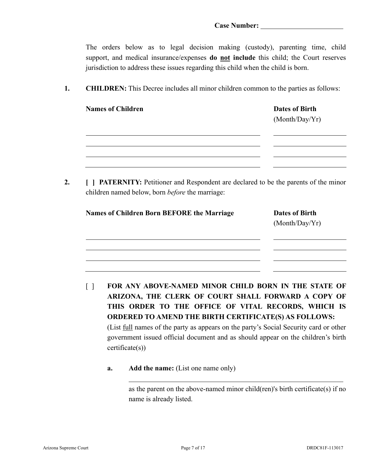The orders below as to legal decision making (custody), parenting time, child support, and medical insurance/expenses **do not include** this child; the Court reserves jurisdiction to address these issues regarding this child when the child is born.

**1. CHILDREN:** This Decree includes all minor children common to the parties as follows:

| <b>Names of Children</b> | <b>Dates of Birth</b><br>(Month/Day/Yr) |  |  |
|--------------------------|-----------------------------------------|--|--|
|                          |                                         |  |  |
|                          |                                         |  |  |

**2. [ ] PATERNITY:** Petitioner and Respondent are declared to be the parents of the minor children named below, born *before* the marriage:

| <b>Names of Children Born BEFORE the Marriage</b> | <b>Dates of Birth</b><br>(Month/Day/Yr) |
|---------------------------------------------------|-----------------------------------------|
|                                                   |                                         |
|                                                   |                                         |

- [ ] **FOR ANY ABOVE-NAMED MINOR CHILD BORN IN THE STATE OF ARIZONA, THE CLERK OF COURT SHALL FORWARD A COPY OF THIS ORDER TO THE OFFICE OF VITAL RECORDS, WHICH IS ORDERED TO AMEND THE BIRTH CERTIFICATE(S) AS FOLLOWS:**  (List full names of the party as appears on the party's Social Security card or other government issued official document and as should appear on the children's birth certificate(s))
	- **a. Add the name:** (List one name only)

as the parent on the above-named minor child(ren)'s birth certificate(s) if no name is already listed.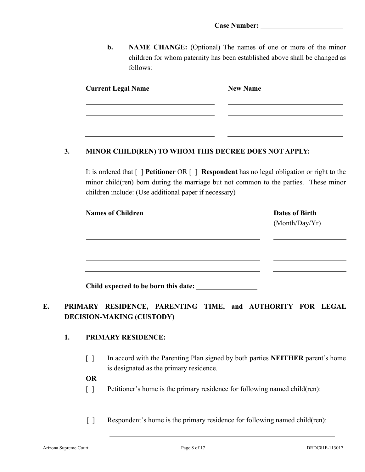**b. NAME CHANGE:** (Optional) The names of one or more of the minor children for whom paternity has been established above shall be changed as follows:

| <b>Current Legal Name</b> | <b>New Name</b> |
|---------------------------|-----------------|
|                           |                 |
|                           |                 |

#### **3. MINOR CHILD(REN) TO WHOM THIS DECREE DOES NOT APPLY:**

It is ordered that [ ] **Petitioner** OR [ ] **Respondent** has no legal obligation or right to the minor child(ren) born during the marriage but not common to the parties. These minor children include: (Use additional paper if necessary)

| <b>Names of Children</b> | <b>Dates of Birth</b> |
|--------------------------|-----------------------|
|                          | (Month/Day/Yr)        |
|                          |                       |
|                          |                       |
|                          |                       |
|                          |                       |
|                          |                       |

**Child expected to be born this date:** 

# **E. PRIMARY RESIDENCE, PARENTING TIME, and AUTHORITY FOR LEGAL DECISION-MAKING (CUSTODY)**

## **1. PRIMARY RESIDENCE:**

[ ] In accord with the Parenting Plan signed by both parties **NEITHER** parent's home is designated as the primary residence.

**OR**

[ ] Petitioner's home is the primary residence for following named child(ren):

[ ] Respondent's home is the primary residence for following named child(ren):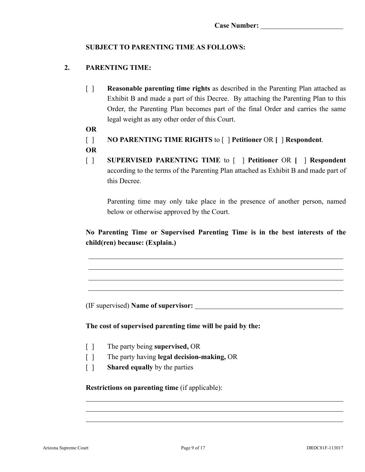## **SUBJECT TO PARENTING TIME AS FOLLOWS:**

## **2. PARENTING TIME:**

- [ ] **Reasonable parenting time rights** as described in the Parenting Plan attached as Exhibit B and made a part of this Decree. By attaching the Parenting Plan to this Order, the Parenting Plan becomes part of the final Order and carries the same legal weight as any other order of this Court.
- **OR**
- [ ] **NO PARENTING TIME RIGHTS** to [ ] **Petitioner** OR **[** ] **Respondent**.
- **OR**
- [ ] **SUPERVISED PARENTING TIME** to [ ] **Petitioner** OR **[** ] **Respondent**  according to the terms of the Parenting Plan attached as Exhibit B and made part of this Decree.

Parenting time may only take place in the presence of another person, named below or otherwise approved by the Court.

# **No Parenting Time or Supervised Parenting Time is in the best interests of the child(ren) because: (Explain.)**

(IF supervised) **Name of supervisor:** 

**The cost of supervised parenting time will be paid by the:** 

- [ ] The party being **supervised,** OR
- [ ] The party having **legal decision-making,** OR
- [ ] **Shared equally** by the parties

**Restrictions on parenting time** (if applicable):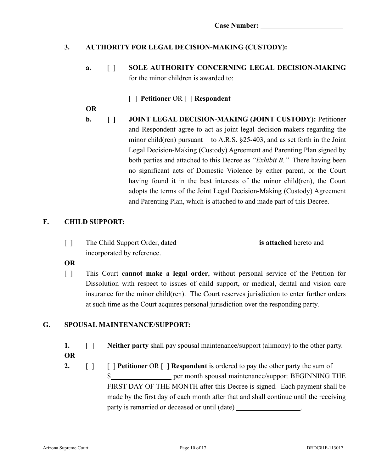# **3. AUTHORITY FOR LEGAL DECISION-MAKING (CUSTODY):**

**a.** [ ] **SOLE AUTHORITY CONCERNING LEGAL DECISION-MAKING**  for the minor children is awarded to:

## [ ] **Petitioner** OR [ ] **Respondent**

**OR**

**b. [ ] JOINT LEGAL DECISION-MAKING (JOINT CUSTODY):** Petitioner and Respondent agree to act as joint legal decision-makers regarding the minor child(ren) pursuant to A.R.S. §25-403, and as set forth in the Joint Legal Decision-Making (Custody) Agreement and Parenting Plan signed by both parties and attached to this Decree as *"Exhibit B."* There having been no significant acts of Domestic Violence by either parent, or the Court having found it in the best interests of the minor child(ren), the Court adopts the terms of the Joint Legal Decision-Making (Custody) Agreement and Parenting Plan, which is attached to and made part of this Decree.

## **F. CHILD SUPPORT:**

| The Child Support Order, dated |                            | is attached hereto and |  |
|--------------------------------|----------------------------|------------------------|--|
|                                | incorporated by reference. |                        |  |

**OR**

[ ] This Court **cannot make a legal order**, without personal service of the Petition for Dissolution with respect to issues of child support, or medical, dental and vision care insurance for the minor child(ren). The Court reserves jurisdiction to enter further orders at such time as the Court acquires personal jurisdiction over the responding party.

## **G. SPOUSAL MAINTENANCE/SUPPORT:**

- **1.** [ ] **Neither party** shall pay spousal maintenance/support (alimony) to the other party. **OR**
- **2. [ ] [ ] Petitioner** OR **[ ] Respondent** is ordered to pay the other party the sum of \$ FIRST DAY OF THE MONTH after this Decree is signed. Each payment shall be made by the first day of each month after that and shall continue until the receiving party is remarried or deceased or until (date)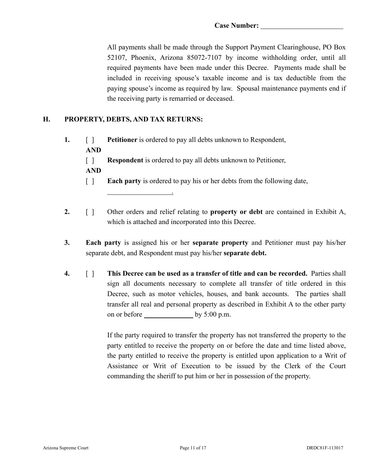All payments shall be made through the Support Payment Clearinghouse, PO Box 52107, Phoenix, Arizona 85072-7107 by income withholding order, until all required payments have been made under this Decree. Payments made shall be included in receiving spouse's taxable income and is tax deductible from the paying spouse's income as required by law. Spousal maintenance payments end if the receiving party is remarried or deceased.

## **H. PROPERTY, DEBTS, AND TAX RETURNS:**

.

- **1.** [ ] **Petitioner** is ordered to pay all debts unknown to Respondent, **AND**
	- [ ] **Respondent** is ordered to pay all debts unknown to Petitioner,
	- **AND**
	- [ ] **Each party** is ordered to pay his or her debts from the following date,
- **2.** [ ] Other orders and relief relating to **property or debt** are contained in Exhibit A, which is attached and incorporated into this Decree.
- **3. Each party** is assigned his or her **separate property** and Petitioner must pay his/her separate debt, and Respondent must pay his/her **separate debt.**
- **4.** [ ] **This Decree can be used as a transfer of title and can be recorded.** Parties shall sign all documents necessary to complete all transfer of title ordered in this Decree, such as motor vehicles, houses, and bank accounts. The parties shall transfer all real and personal property as described in Exhibit A to the other party on or before by 5:00 p.m.

If the party required to transfer the property has not transferred the property to the party entitled to receive the property on or before the date and time listed above, the party entitled to receive the property is entitled upon application to a Writ of Assistance or Writ of Execution to be issued by the Clerk of the Court commanding the sheriff to put him or her in possession of the property.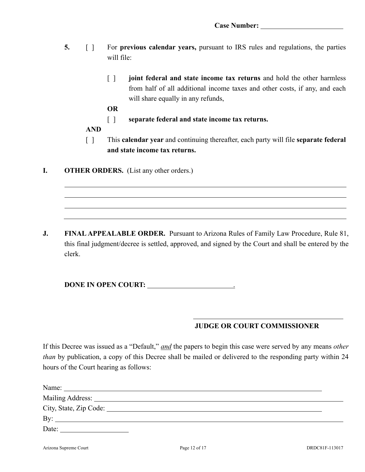- **5.** [ ] For **previous calendar years,** pursuant to IRS rules and regulations, the parties will file:
	- [ ] **joint federal and state income tax returns** and hold the other harmless from half of all additional income taxes and other costs, if any, and each will share equally in any refunds,

**OR**

- [ ] **separate federal and state income tax returns.**
- **AND**
- [ ] This **calendar year** and continuing thereafter, each party will file **separate federal and state income tax returns.**
- **I. OTHER ORDERS.** (List any other orders.)

**J. FINAL APPEALABLE ORDER.** Pursuant to Arizona Rules of Family Law Procedure, Rule 81, this final judgment/decree is settled, approved, and signed by the Court and shall be entered by the clerk.

**DONE IN OPEN COURT:** .

# **JUDGE OR COURT COMMISSIONER**

If this Decree was issued as a "Default," *and* the papers to begin this case were served by any means *other than* by publication, a copy of this Decree shall be mailed or delivered to the responding party within 24 hours of the Court hearing as follows:

| City, State, Zip Code: No. 2008. 2008. 2009. 2012. 2013. 2014. 2015. 2016. 2017. 2018. 2017. 2018. 2017. 2018. 2017. 2018. 2017. 2018. 2017. 2018. 2017. 2018. 2018. 2019. 2018. 2019. 2018. 2019. 2018. 2019. 2019. 2019. 201 |  |
|--------------------------------------------------------------------------------------------------------------------------------------------------------------------------------------------------------------------------------|--|
| By: $\overline{\phantom{a}}$                                                                                                                                                                                                   |  |
| Date:                                                                                                                                                                                                                          |  |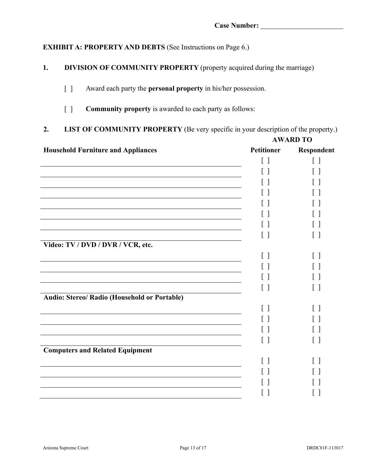# **EXHIBIT A: PROPERTY AND DEBTS** (See Instructions on Page 6.)

- **1. DIVISION OF COMMUNITY PROPERTY** (property acquired during the marriage)
	- [ ] Award each party the **personal property** in his/her possession.
	- [ ] **Community property** is awarded to each party as follows:

# **2. LIST OF COMMUNITY PROPERTY** (Be very specific in your description of the property.)

|                                              | <b>AWARD TO</b>                               |              |
|----------------------------------------------|-----------------------------------------------|--------------|
| <b>Household Furniture and Appliances</b>    | <b>Petitioner</b>                             | Respondent   |
|                                              | $\left[ \begin{array}{c} \end{array} \right]$ | $\lceil$ 1   |
|                                              | $\mathsf{L}$                                  |              |
|                                              |                                               |              |
|                                              |                                               |              |
|                                              |                                               |              |
|                                              |                                               |              |
|                                              |                                               |              |
|                                              | $\lceil$ $\rceil$                             | $\Box$       |
| Video: TV / DVD / DVR / VCR, etc.            |                                               |              |
|                                              | $\lceil$ 1                                    | $\lceil$ 1   |
|                                              |                                               |              |
|                                              |                                               |              |
|                                              | $\lceil$ 1                                    | $\mathsf{L}$ |
| Audio: Stereo/ Radio (Household or Portable) |                                               |              |
|                                              |                                               |              |
|                                              |                                               |              |
|                                              | $\Box$                                        |              |
|                                              | $\lceil$ 1                                    | $\perp$      |
| <b>Computers and Related Equipment</b>       |                                               |              |
|                                              | $\lceil$ 1                                    | $\lceil$ 1   |
|                                              |                                               |              |
|                                              |                                               |              |
|                                              |                                               |              |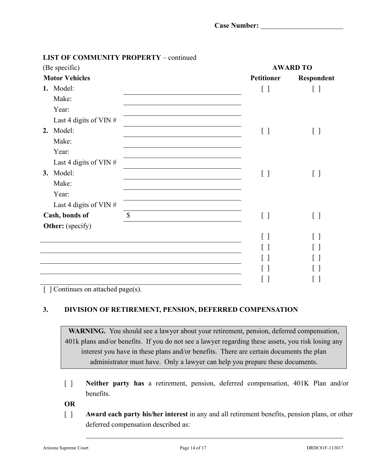| (Be specific) |                          |              | <b>AWARD TO</b>   |            |
|---------------|--------------------------|--------------|-------------------|------------|
|               | <b>Motor Vehicles</b>    |              | <b>Petitioner</b> | Respondent |
|               | 1. Model:                |              | [ ]               | []         |
|               | Make:                    |              |                   |            |
|               | Year:                    |              |                   |            |
|               | Last 4 digits of VIN $#$ |              |                   |            |
| 2.            | Model:                   |              | $[\ ]$            | $[\ ]$     |
|               | Make:                    |              |                   |            |
|               | Year:                    |              |                   |            |
|               | Last 4 digits of VIN $#$ |              |                   |            |
|               | 3. Model:                |              | $[ \ ]$           | $[\,\,]$   |
|               | Make:                    |              |                   |            |
|               | Year:                    |              |                   |            |
|               | Last 4 digits of VIN $#$ |              |                   |            |
|               | Cash, bonds of           | $\mathbb{S}$ | $[\ ]$            | [ ]        |
|               | Other: (specify)         |              |                   |            |
|               |                          |              |                   |            |
|               |                          |              |                   |            |
|               |                          |              |                   |            |
|               |                          |              |                   |            |
|               |                          |              |                   |            |

## **LIST OF COMMUNITY PROPERTY** – continued

[ ] Continues on attached page(s).

## **3. DIVISION OF RETIREMENT, PENSION, DEFERRED COMPENSATION**

**WARNING.** You should see a lawyer about your retirement, pension, deferred compensation, 401k plans and/or benefits. If you do not see a lawyer regarding these assets, you risk losing any interest you have in these plans and/or benefits. There are certain documents the plan administrator must have. Only a lawyer can help you prepare these documents.

[ ] **Neither party has** a retirement, pension, deferred compensation, 401K Plan and/or benefits.

**OR**

[ ] **Award each party his/her interest** in any and all retirement benefits, pension plans, or other deferred compensation described as:

 $\overline{a}$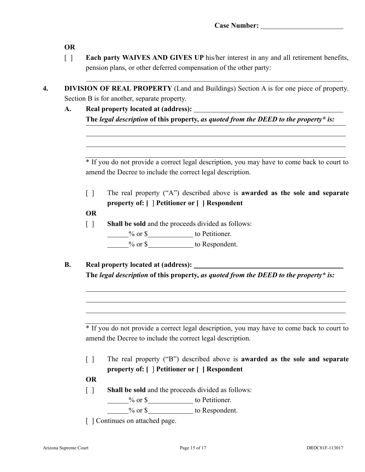**OR**

- [ ] **Each party WAIVES AND GIVES UP** his/her interest in any and all retirement benefits, pension plans, or other deferred compensation of the other party:
- **4. DIVISION OF REAL PROPERTY** (Land and Buildings) Section A is for one piece of property. Section B is for another, separate property.
	- **A. Real property located at (address): The** *legal description* **of this property,** *as quoted from the DEED to the property\* is:*

\* If you do not provide a correct legal description, you may have to come back to court to amend the Decree to include the correct legal description.

[ ] The real property ("A") described above is **awarded as the sole and separate property of: [** ] **Petitioner or [ ] Respondent**

**OR**

- [ ] **Shall be sold** and the proceeds divided as follows:
	- $\frac{1}{20}$  or \$ to Petitioner.

 $%$  or  $\$  to Respondent.

**B. Real property located at (address): The** *legal description* **of this property,** *as quoted from the DEED to the property\* is:*

\* If you do not provide a correct legal description, you may have to come back to court to amend the Decree to include the correct legal description.

[ ] The real property ("B") described above is **awarded as the sole and separate property of: [** ] **Petitioner or [ ] Respondent**

**OR**

- [ ] **Shall be sold** and the proceeds divided as follows:
	- **Example 3** or \$

 $\%$  or  $\$$  to Respondent.

[  $\vert$  Continues on attached page.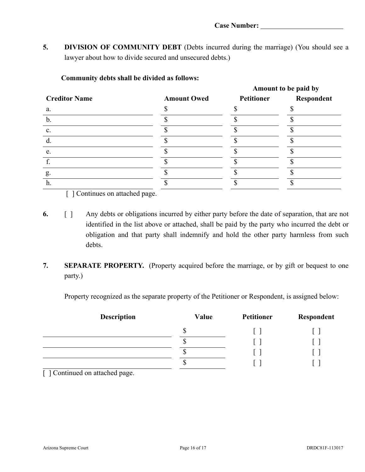**5. DIVISION OF COMMUNITY DEBT** (Debts incurred during the marriage) (You should see a lawyer about how to divide secured and unsecured debts.)

|                      |                    | Amount to be paid by |            |
|----------------------|--------------------|----------------------|------------|
| <b>Creditor Name</b> | <b>Amount Owed</b> | <b>Petitioner</b>    | Respondent |
| a.                   |                    |                      |            |
| $\mathbf b$ .        |                    |                      |            |
| c.                   |                    |                      |            |
| d.                   |                    |                      |            |
| e.                   |                    |                      |            |
|                      |                    |                      |            |
| g.                   |                    |                      |            |
| h.                   |                    |                      |            |

#### **Community debts shall be divided as follows:**

[ ] Continues on attached page.

- **6.** [ ] Any debts or obligations incurred by either party before the date of separation, that are not identified in the list above or attached, shall be paid by the party who incurred the debt or obligation and that party shall indemnify and hold the other party harmless from such debts.
- **7. SEPARATE PROPERTY.** (Property acquired before the marriage, or by gift or bequest to one party.)

Property recognized as the separate property of the Petitioner or Respondent, is assigned below:

| <b>Description</b> | Value | Petitioner | Respondent |
|--------------------|-------|------------|------------|
|                    | ¢     |            |            |
|                    | Φ     |            |            |
|                    | Φ     |            |            |
|                    | Φ     |            |            |

[  $\sqrt{\frac{2}{n}}$ ] Continued on attached page.